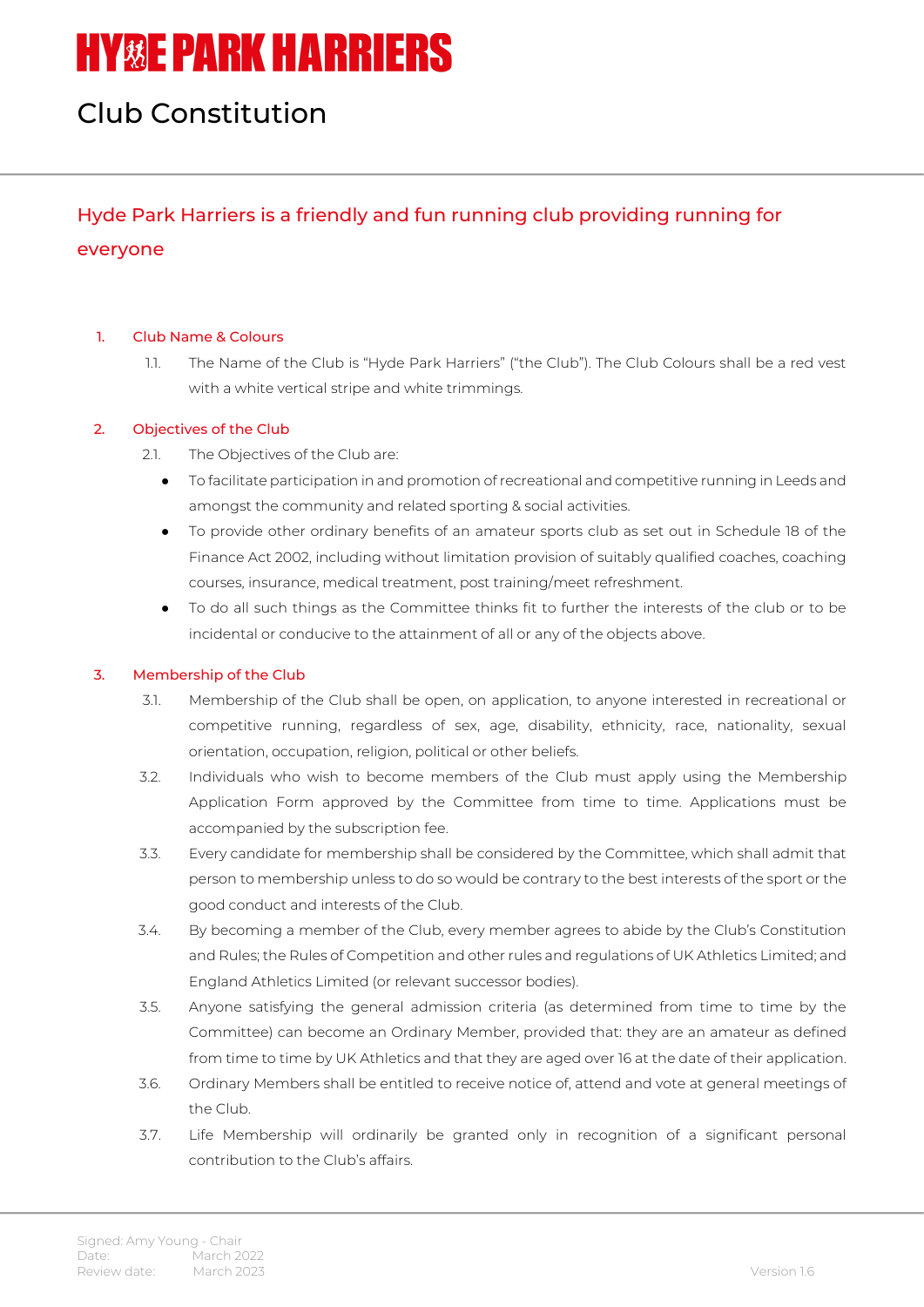# **HY&E PARK HARRIERS**

## Club Constitution

### Hyde Park Harriers is a friendly and fun running club providing running for everyone

#### 1. Club Name & Colours

1.1. The Name of the Club is "Hyde Park Harriers" ("the Club"). The Club Colours shall be a red vest with a white vertical stripe and white trimmings.

#### 2. Objectives of the Club

- 2.1. The Objectives of the Club are:
	- To facilitate participation in and promotion of recreational and competitive running in Leeds and amongst the community and related sporting & social activities.
	- To provide other ordinary benefits of an amateur sports club as set out in Schedule 18 of the Finance Act 2002, including without limitation provision of suitably qualified coaches, coaching courses, insurance, medical treatment, post training/meet refreshment.
	- To do all such things as the Committee thinks fit to further the interests of the club or to be incidental or conducive to the attainment of all or any of the objects above.

#### 3. Membership of the Club

- 3.1. Membership of the Club shall be open, on application, to anyone interested in recreational or competitive running, regardless of sex, age, disability, ethnicity, race, nationality, sexual orientation, occupation, religion, political or other beliefs.
- 3.2. Individuals who wish to become members of the Club must apply using the Membership Application Form approved by the Committee from time to time. Applications must be accompanied by the subscription fee.
- 3.3. Every candidate for membership shall be considered by the Committee, which shall admit that person to membership unless to do so would be contrary to the best interests of the sport or the good conduct and interests of the Club.
- 3.4. By becoming a member of the Club, every member agrees to abide by the Club's Constitution and Rules; the Rules of Competition and other rules and regulations of UK Athletics Limited; and England Athletics Limited (or relevant successor bodies).
- 3.5. Anyone satisfying the general admission criteria (as determined from time to time by the Committee) can become an Ordinary Member, provided that: they are an amateur as defined from time to time by UK Athletics and that they are aged over 16 at the date of their application.
- 3.6. Ordinary Members shall be entitled to receive notice of, attend and vote at general meetings of the Club.
- 3.7. Life Membership will ordinarily be granted only in recognition of a significant personal contribution to the Club's affairs.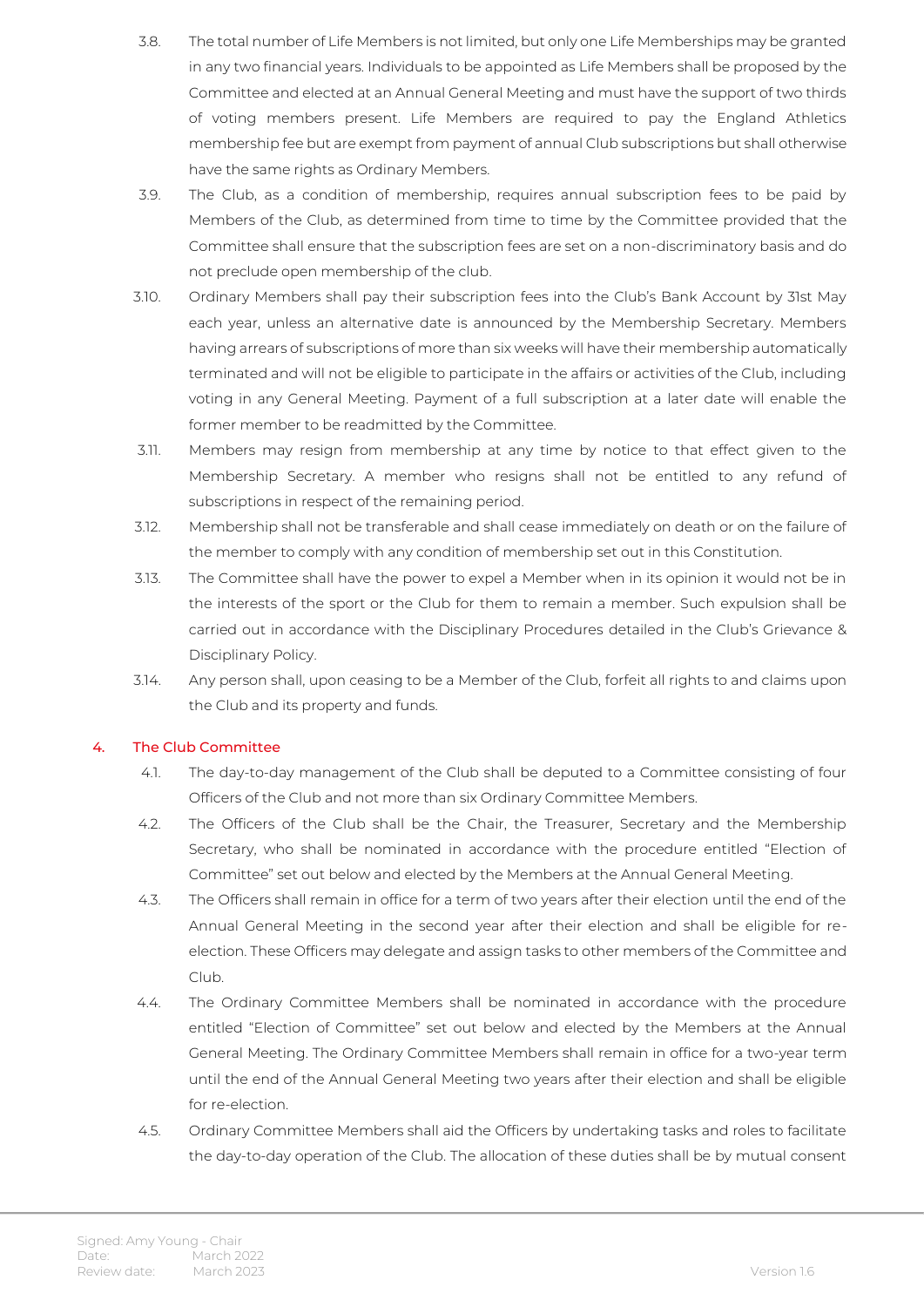- 3.8. The total number of Life Members is not limited, but only one Life Memberships may be granted in any two financial years. Individuals to be appointed as Life Members shall be proposed by the Committee and elected at an Annual General Meeting and must have the support of two thirds of voting members present. Life Members are required to pay the England Athletics membership fee but are exempt from payment of annual Club subscriptions but shall otherwise have the same rights as Ordinary Members.
- 3.9. The Club, as a condition of membership, requires annual subscription fees to be paid by Members of the Club, as determined from time to time by the Committee provided that the Committee shall ensure that the subscription fees are set on a non-discriminatory basis and do not preclude open membership of the club.
- 3.10. Ordinary Members shall pay their subscription fees into the Club's Bank Account by 31st May each year, unless an alternative date is announced by the Membership Secretary. Members having arrears of subscriptions of more than six weeks will have their membership automatically terminated and will not be eligible to participate in the affairs or activities of the Club, including voting in any General Meeting. Payment of a full subscription at a later date will enable the former member to be readmitted by the Committee.
- 3.11. Members may resign from membership at any time by notice to that effect given to the Membership Secretary. A member who resigns shall not be entitled to any refund of subscriptions in respect of the remaining period.
- 3.12. Membership shall not be transferable and shall cease immediately on death or on the failure of the member to comply with any condition of membership set out in this Constitution.
- 3.13. The Committee shall have the power to expel a Member when in its opinion it would not be in the interests of the sport or the Club for them to remain a member. Such expulsion shall be carried out in accordance with the Disciplinary Procedures detailed in the Club's Grievance & Disciplinary Policy.
- 3.14. Any person shall, upon ceasing to be a Member of the Club, forfeit all rights to and claims upon the Club and its property and funds.

#### 4. The Club Committee

- 4.1. The day-to-day management of the Club shall be deputed to a Committee consisting of four Officers of the Club and not more than six Ordinary Committee Members.
- 4.2. The Officers of the Club shall be the Chair, the Treasurer, Secretary and the Membership Secretary, who shall be nominated in accordance with the procedure entitled "Election of Committee" set out below and elected by the Members at the Annual General Meeting.
- 4.3. The Officers shall remain in office for a term of two years after their election until the end of the Annual General Meeting in the second year after their election and shall be eligible for reelection. These Officers may delegate and assign tasks to other members of the Committee and Club.
- 4.4. The Ordinary Committee Members shall be nominated in accordance with the procedure entitled "Election of Committee" set out below and elected by the Members at the Annual General Meeting. The Ordinary Committee Members shall remain in office for a two-year term until the end of the Annual General Meeting two years after their election and shall be eligible for re-election.
- 4.5. Ordinary Committee Members shall aid the Officers by undertaking tasks and roles to facilitate the day-to-day operation of the Club. The allocation of these duties shall be by mutual consent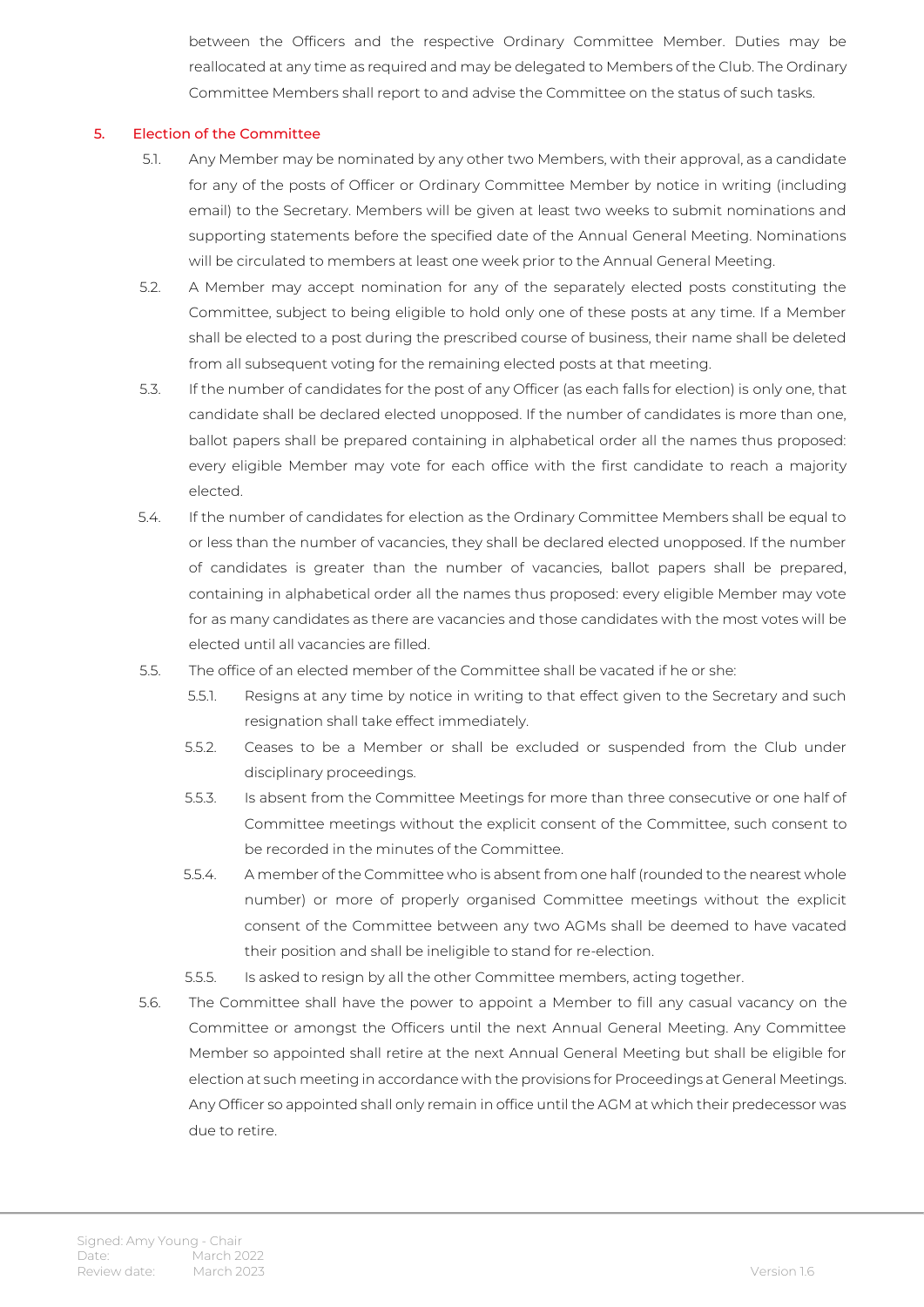between the Officers and the respective Ordinary Committee Member. Duties may be reallocated at any time as required and may be delegated to Members of the Club. The Ordinary Committee Members shall report to and advise the Committee on the status of such tasks.

#### 5. Election of the Committee

- 5.1. Any Member may be nominated by any other two Members, with their approval, as a candidate for any of the posts of Officer or Ordinary Committee Member by notice in writing (including email) to the Secretary. Members will be given at least two weeks to submit nominations and supporting statements before the specified date of the Annual General Meeting. Nominations will be circulated to members at least one week prior to the Annual General Meeting.
- 5.2. A Member may accept nomination for any of the separately elected posts constituting the Committee, subject to being eligible to hold only one of these posts at any time. If a Member shall be elected to a post during the prescribed course of business, their name shall be deleted from all subsequent voting for the remaining elected posts at that meeting.
- 5.3. If the number of candidates for the post of any Officer (as each falls for election) is only one, that candidate shall be declared elected unopposed. If the number of candidates is more than one, ballot papers shall be prepared containing in alphabetical order all the names thus proposed: every eligible Member may vote for each office with the first candidate to reach a majority elected.
- 5.4. If the number of candidates for election as the Ordinary Committee Members shall be equal to or less than the number of vacancies, they shall be declared elected unopposed. If the number of candidates is greater than the number of vacancies, ballot papers shall be prepared, containing in alphabetical order all the names thus proposed: every eligible Member may vote for as many candidates as there are vacancies and those candidates with the most votes will be elected until all vacancies are filled.
- 5.5. The office of an elected member of the Committee shall be vacated if he or she:
	- 5.5.1. Resigns at any time by notice in writing to that effect given to the Secretary and such resignation shall take effect immediately.
	- 5.5.2. Ceases to be a Member or shall be excluded or suspended from the Club under disciplinary proceedings.
	- 5.5.3. Is absent from the Committee Meetings for more than three consecutive or one half of Committee meetings without the explicit consent of the Committee, such consent to be recorded in the minutes of the Committee.
	- 5.5.4. A member of the Committee who is absent from one half (rounded to the nearest whole number) or more of properly organised Committee meetings without the explicit consent of the Committee between any two AGMs shall be deemed to have vacated their position and shall be ineligible to stand for re-election.
	- 5.5.5. Is asked to resign by all the other Committee members, acting together.
- 5.6. The Committee shall have the power to appoint a Member to fill any casual vacancy on the Committee or amongst the Officers until the next Annual General Meeting. Any Committee Member so appointed shall retire at the next Annual General Meeting but shall be eligible for election at such meeting in accordance with the provisions for Proceedings at General Meetings. Any Officer so appointed shall only remain in office until the AGM at which their predecessor was due to retire.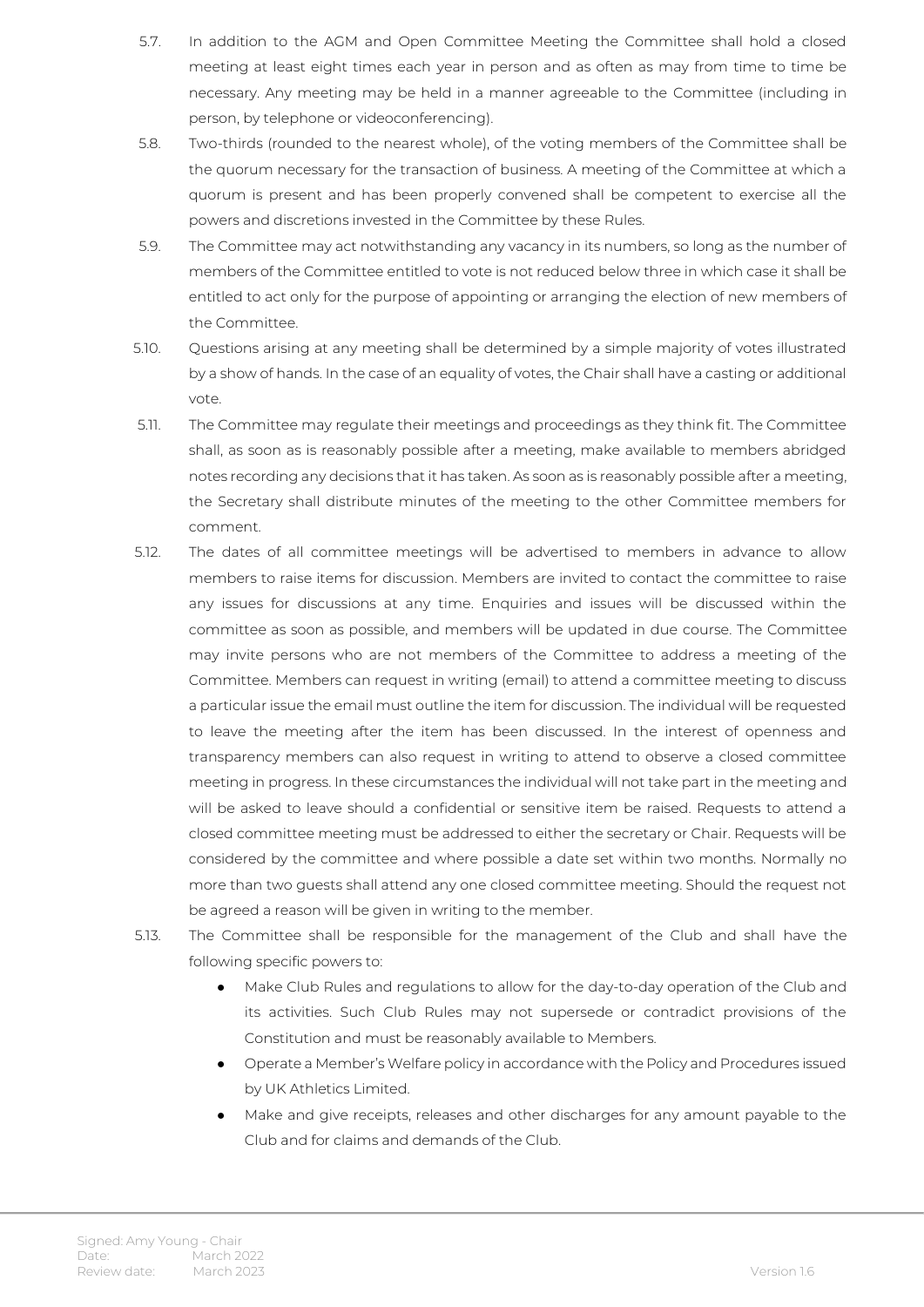- 5.7. In addition to the AGM and Open Committee Meeting the Committee shall hold a closed meeting at least eight times each year in person and as often as may from time to time be necessary. Any meeting may be held in a manner agreeable to the Committee (including in person, by telephone or videoconferencing).
- 5.8. Two-thirds (rounded to the nearest whole), of the voting members of the Committee shall be the quorum necessary for the transaction of business. A meeting of the Committee at which a quorum is present and has been properly convened shall be competent to exercise all the powers and discretions invested in the Committee by these Rules.
- 5.9. The Committee may act notwithstanding any vacancy in its numbers, so long as the number of members of the Committee entitled to vote is not reduced below three in which case it shall be entitled to act only for the purpose of appointing or arranging the election of new members of the Committee.
- 5.10. Questions arising at any meeting shall be determined by a simple majority of votes illustrated by a show of hands. In the case of an equality of votes, the Chair shall have a casting or additional vote.
- 5.11. The Committee may regulate their meetings and proceedings as they think fit. The Committee shall, as soon as is reasonably possible after a meeting, make available to members abridged notes recording any decisions that it has taken. As soon as is reasonably possible after a meeting, the Secretary shall distribute minutes of the meeting to the other Committee members for comment.
- 5.12. The dates of all committee meetings will be advertised to members in advance to allow members to raise items for discussion. Members are invited to contact the committee to raise any issues for discussions at any time. Enquiries and issues will be discussed within the committee as soon as possible, and members will be updated in due course. The Committee may invite persons who are not members of the Committee to address a meeting of the Committee. Members can request in writing (email) to attend a committee meeting to discuss a particular issue the email must outline the item for discussion. The individual will be requested to leave the meeting after the item has been discussed. In the interest of openness and transparency members can also request in writing to attend to observe a closed committee meeting in progress. In these circumstances the individual will not take part in the meeting and will be asked to leave should a confidential or sensitive item be raised. Requests to attend a closed committee meeting must be addressed to either the secretary or Chair. Requests will be considered by the committee and where possible a date set within two months. Normally no more than two guests shall attend any one closed committee meeting. Should the request not be agreed a reason will be given in writing to the member.
- 5.13. The Committee shall be responsible for the management of the Club and shall have the following specific powers to:
	- Make Club Rules and regulations to allow for the day-to-day operation of the Club and its activities. Such Club Rules may not supersede or contradict provisions of the Constitution and must be reasonably available to Members.
	- Operate a Member's Welfare policy in accordance with the Policy and Procedures issued by UK Athletics Limited.
	- Make and give receipts, releases and other discharges for any amount payable to the Club and for claims and demands of the Club.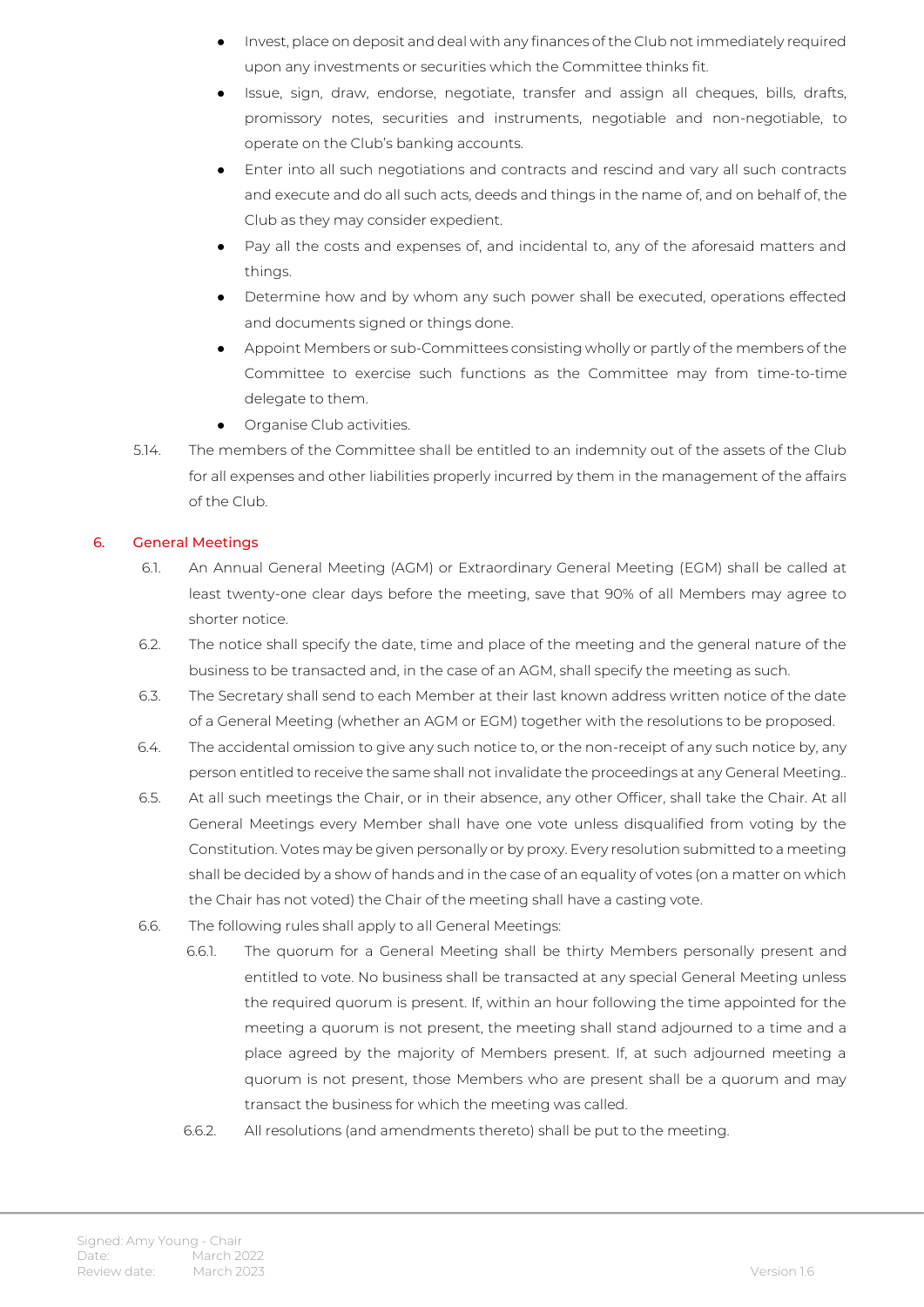- Invest, place on deposit and deal with any finances of the Club not immediately required upon any investments or securities which the Committee thinks fit.
- Issue, sign, draw, endorse, negotiate, transfer and assign all cheques, bills, drafts, promissory notes, securities and instruments, negotiable and non-negotiable, to operate on the Club's banking accounts.
- Enter into all such negotiations and contracts and rescind and vary all such contracts and execute and do all such acts, deeds and things in the name of, and on behalf of, the Club as they may consider expedient.
- Pay all the costs and expenses of, and incidental to, any of the aforesaid matters and things.
- Determine how and by whom any such power shall be executed, operations effected and documents signed or things done.
- Appoint Members or sub-Committees consisting wholly or partly of the members of the Committee to exercise such functions as the Committee may from time-to-time delegate to them.
- Organise Club activities.
- 5.14. The members of the Committee shall be entitled to an indemnity out of the assets of the Club for all expenses and other liabilities properly incurred by them in the management of the affairs of the Club.

#### 6. General Meetings

- 6.1. An Annual General Meeting (AGM) or Extraordinary General Meeting (EGM) shall be called at least twenty-one clear days before the meeting, save that 90% of all Members may agree to shorter notice.
- 6.2. The notice shall specify the date, time and place of the meeting and the general nature of the business to be transacted and, in the case of an AGM, shall specify the meeting as such.
- 6.3. The Secretary shall send to each Member at their last known address written notice of the date of a General Meeting (whether an AGM or EGM) together with the resolutions to be proposed.
- 6.4. The accidental omission to give any such notice to, or the non-receipt of any such notice by, any person entitled to receive the same shall not invalidate the proceedings at any General Meeting..
- 6.5. At all such meetings the Chair, or in their absence, any other Officer, shall take the Chair. At all General Meetings every Member shall have one vote unless disqualified from voting by the Constitution. Votes may be given personally or by proxy. Every resolution submitted to a meeting shall be decided by a show of hands and in the case of an equality of votes (on a matter on which the Chair has not voted) the Chair of the meeting shall have a casting vote.
- 6.6. The following rules shall apply to all General Meetings:
	- 6.6.1. The quorum for a General Meeting shall be thirty Members personally present and entitled to vote. No business shall be transacted at any special General Meeting unless the required quorum is present. If, within an hour following the time appointed for the meeting a quorum is not present, the meeting shall stand adjourned to a time and a place agreed by the majority of Members present. If, at such adjourned meeting a quorum is not present, those Members who are present shall be a quorum and may transact the business for which the meeting was called.
		- 6.6.2. All resolutions (and amendments thereto) shall be put to the meeting.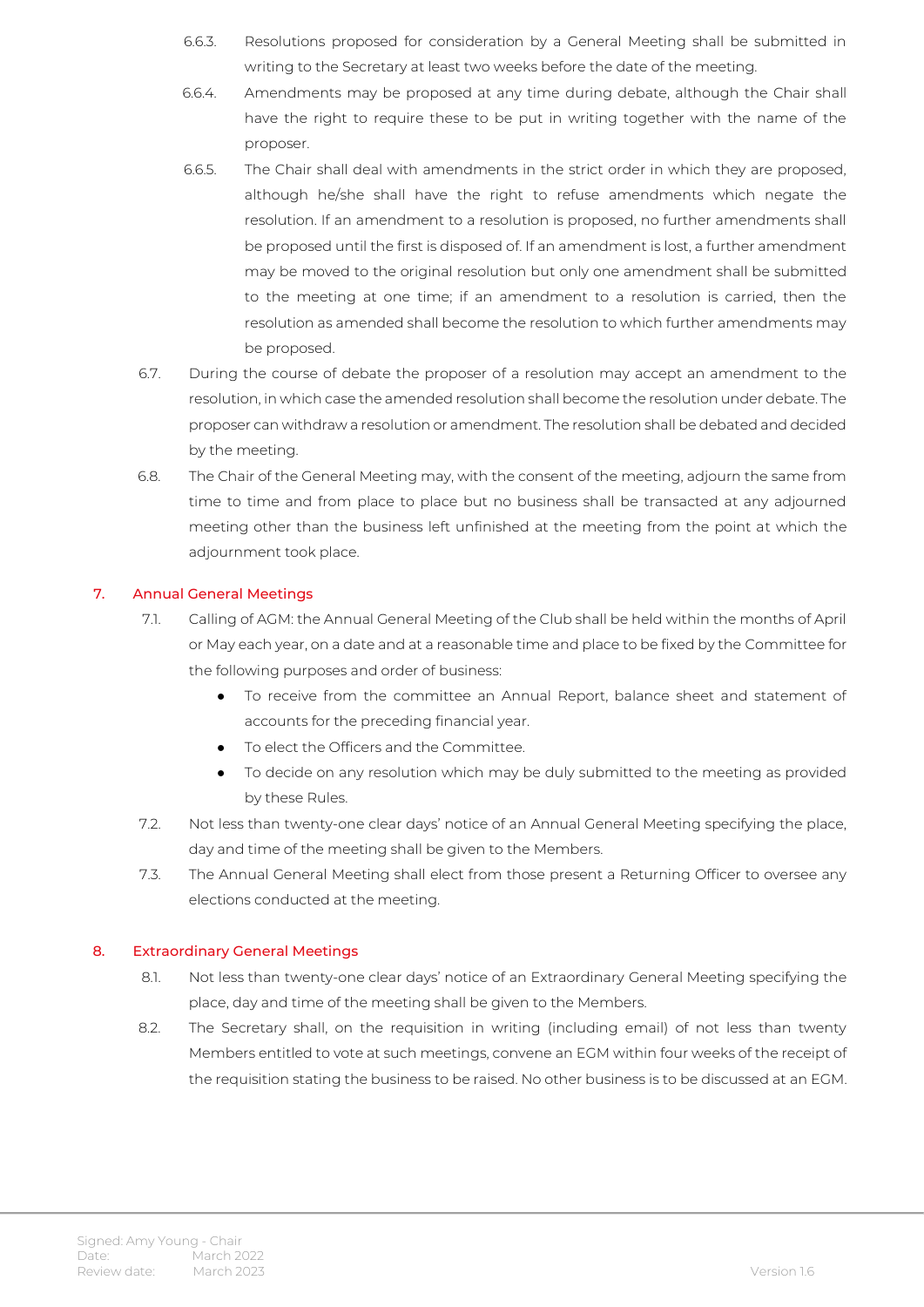- 6.6.3. Resolutions proposed for consideration by a General Meeting shall be submitted in writing to the Secretary at least two weeks before the date of the meeting.
- 6.6.4. Amendments may be proposed at any time during debate, although the Chair shall have the right to require these to be put in writing together with the name of the proposer.
- 6.6.5. The Chair shall deal with amendments in the strict order in which they are proposed, although he/she shall have the right to refuse amendments which negate the resolution. If an amendment to a resolution is proposed, no further amendments shall be proposed until the first is disposed of. If an amendment is lost, a further amendment may be moved to the original resolution but only one amendment shall be submitted to the meeting at one time; if an amendment to a resolution is carried, then the resolution as amended shall become the resolution to which further amendments may be proposed.
- 6.7. During the course of debate the proposer of a resolution may accept an amendment to the resolution, in which case the amended resolution shall become the resolution under debate. The proposer can withdraw a resolution or amendment. The resolution shall be debated and decided by the meeting.
- 6.8. The Chair of the General Meeting may, with the consent of the meeting, adjourn the same from time to time and from place to place but no business shall be transacted at any adjourned meeting other than the business left unfinished at the meeting from the point at which the adjournment took place.

#### 7. Annual General Meetings

- 7.1. Calling of AGM: the Annual General Meeting of the Club shall be held within the months of April or May each year, on a date and at a reasonable time and place to be fixed by the Committee for the following purposes and order of business:
	- To receive from the committee an Annual Report, balance sheet and statement of accounts for the preceding financial year.
	- To elect the Officers and the Committee.
	- To decide on any resolution which may be duly submitted to the meeting as provided by these Rules.
- 7.2. Not less than twenty-one clear days' notice of an Annual General Meeting specifying the place, day and time of the meeting shall be given to the Members.
- 7.3. The Annual General Meeting shall elect from those present a Returning Officer to oversee any elections conducted at the meeting.

#### 8. Extraordinary General Meetings

- 8.1. Not less than twenty-one clear days' notice of an Extraordinary General Meeting specifying the place, day and time of the meeting shall be given to the Members.
- 8.2. The Secretary shall, on the requisition in writing (including email) of not less than twenty Members entitled to vote at such meetings, convene an EGM within four weeks of the receipt of the requisition stating the business to be raised. No other business is to be discussed at an EGM.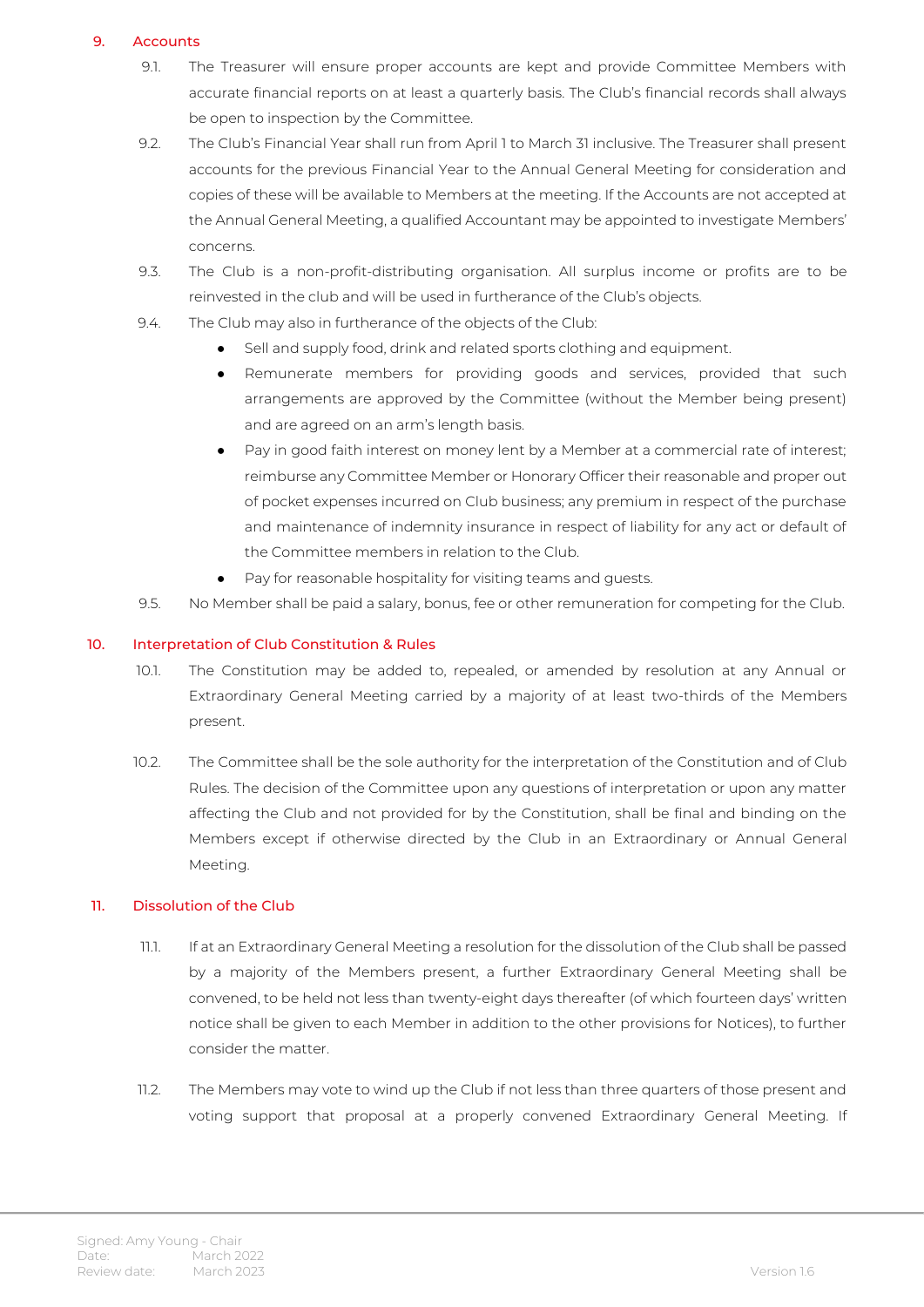#### 9. Accounts

- 9.1. The Treasurer will ensure proper accounts are kept and provide Committee Members with accurate financial reports on at least a quarterly basis. The Club's financial records shall always be open to inspection by the Committee.
- 9.2. The Club's Financial Year shall run from April 1 to March 31 inclusive. The Treasurer shall present accounts for the previous Financial Year to the Annual General Meeting for consideration and copies of these will be available to Members at the meeting. If the Accounts are not accepted at the Annual General Meeting, a qualified Accountant may be appointed to investigate Members' concerns.
- 9.3. The Club is a non-profit-distributing organisation. All surplus income or profits are to be reinvested in the club and will be used in furtherance of the Club's objects.
- 9.4. The Club may also in furtherance of the objects of the Club:
	- Sell and supply food, drink and related sports clothing and equipment.
	- Remunerate members for providing goods and services, provided that such arrangements are approved by the Committee (without the Member being present) and are agreed on an arm's length basis.
	- Pay in good faith interest on money lent by a Member at a commercial rate of interest; reimburse any Committee Member or Honorary Officer their reasonable and proper out of pocket expenses incurred on Club business; any premium in respect of the purchase and maintenance of indemnity insurance in respect of liability for any act or default of the Committee members in relation to the Club.
	- Pay for reasonable hospitality for visiting teams and guests.
- 9.5. No Member shall be paid a salary, bonus, fee or other remuneration for competing for the Club.

#### 10. Interpretation of Club Constitution & Rules

- 10.1. The Constitution may be added to, repealed, or amended by resolution at any Annual or Extraordinary General Meeting carried by a majority of at least two-thirds of the Members present.
- 10.2. The Committee shall be the sole authority for the interpretation of the Constitution and of Club Rules. The decision of the Committee upon any questions of interpretation or upon any matter affecting the Club and not provided for by the Constitution, shall be final and binding on the Members except if otherwise directed by the Club in an Extraordinary or Annual General Meeting.

#### 11. Dissolution of the Club

- 11.1. If at an Extraordinary General Meeting a resolution for the dissolution of the Club shall be passed by a majority of the Members present, a further Extraordinary General Meeting shall be convened, to be held not less than twenty-eight days thereafter (of which fourteen days' written notice shall be given to each Member in addition to the other provisions for Notices), to further consider the matter.
- 11.2. The Members may vote to wind up the Club if not less than three quarters of those present and voting support that proposal at a properly convened Extraordinary General Meeting. If